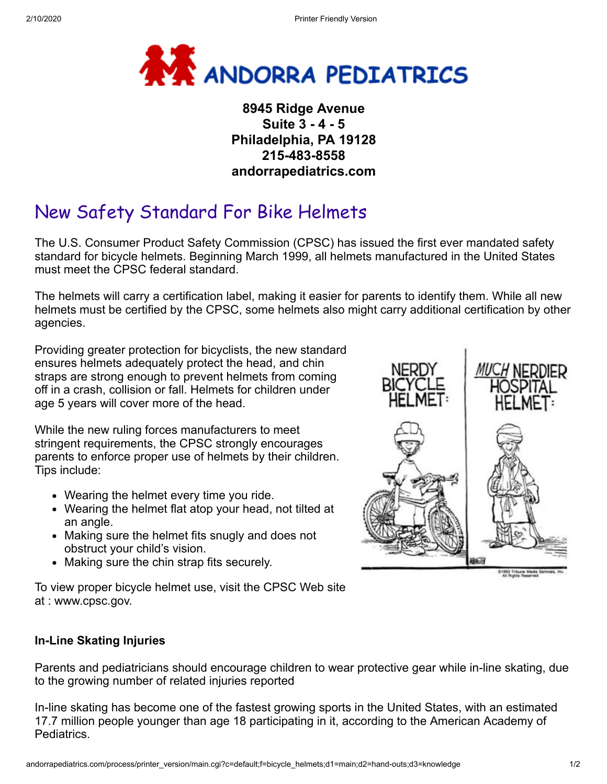

## **8945 Ridge Avenue Suite 3 - 4 - 5 Philadelphia, PA 19128 215-483-8558 andorrapediatrics.com**

## New Safety Standard For Bike Helmets

The U.S. Consumer Product Safety Commission (CPSC) has issued the first ever mandated safety standard for bicycle helmets. Beginning March 1999, all helmets manufactured in the United States must meet the CPSC federal standard.

The helmets will carry a certification label, making it easier for parents to identify them. While all new helmets must be certified by the CPSC, some helmets also might carry additional certification by other agencies.

Providing greater protection for bicyclists, the new standard ensures helmets adequately protect the head, and chin straps are strong enough to prevent helmets from coming off in a crash, collision or fall. Helmets for children under age 5 years will cover more of the head.

While the new ruling forces manufacturers to meet stringent requirements, the CPSC strongly encourages parents to enforce proper use of helmets by their children. Tips include:

- Wearing the helmet every time you ride.
- Wearing the helmet flat atop your head, not tilted at an angle.
- Making sure the helmet fits snugly and does not obstruct your child's vision.
- Making sure the chin strap fits securely.

To view proper bicycle helmet use, visit the CPSC Web site at : www.cpsc.gov.



## **In-Line Skating Injuries**

Parents and pediatricians should encourage children to wear protective gear while in-line skating, due to the growing number of related injuries reported

In-line skating has become one of the fastest growing sports in the United States, with an estimated 17.7 million people younger than age 18 participating in it, according to the American Academy of Pediatrics.